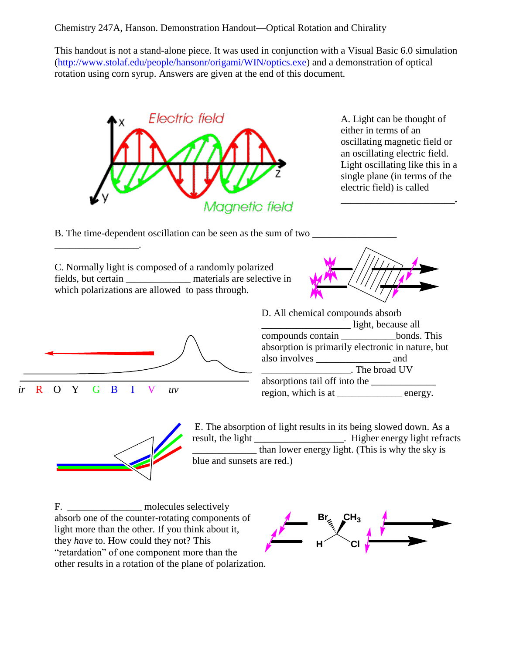## Chemistry 247A, Hanson. Demonstration Handout—Optical Rotation and Chirality

This handout is not a stand-alone piece. It was used in conjunction with a Visual Basic 6.0 simulation [\(http://www.stolaf.edu/people/hansonr/origami/WIN/optics.exe\)](http://www.stolaf.edu/people/hansonr/origami/WIN/optics.exe) and a demonstration of optical rotation using corn syrup. Answers are given at the end of this document.



A. Light can be thought of either in terms of an oscillating magnetic field or an oscillating electric field. Light oscillating like this in a single plane (in terms of the electric field) is called

**\_\_\_\_\_\_\_\_\_\_\_\_\_\_\_\_\_\_\_\_\_\_\_.**

B. The time-dependent oscillation can be seen as the sum of two  $\Box$ 

C. Normally light is composed of a randomly polarized fields, but certain \_\_\_\_\_\_\_\_\_\_\_\_\_ materials are selective in which polarizations are allowed to pass through.





\_\_\_\_\_\_\_\_\_\_\_\_\_\_\_\_\_.





E. The absorption of light results in its being slowed down. As a result, the light \_\_\_\_\_\_\_\_\_\_\_\_\_\_\_\_\_\_. Higher energy light refracts  $\frac{1}{2}$  than lower energy light. (This is why the sky is blue and sunsets are red.)

F. \_\_\_\_\_\_\_\_\_\_\_\_\_\_\_\_ molecules selectively absorb one of the counter-rotating components of light more than the other. If you think about it, they *have* to. How could they not? This "retardation" of one component more than the other results in a rotation of the plane of polarization.

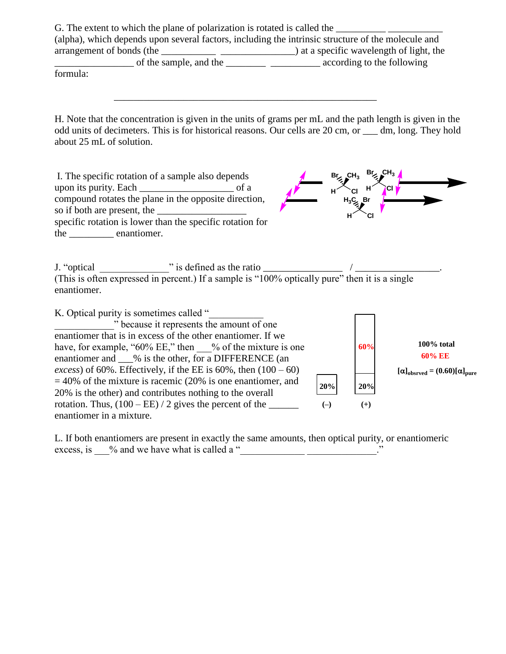G. The extent to which the plane of polarization is rotated is called the (alpha), which depends upon several factors, including the intrinsic structure of the molecule and arrangement of bonds (the \_\_\_\_\_\_\_\_\_\_\_ \_\_\_\_\_\_\_\_\_\_\_\_\_\_\_) at a specific wavelength of light, the  $\Box$  of the sample, and the  $\Box$   $\Box$   $\Box$  according to the following

\_\_\_\_\_\_\_\_\_\_\_\_\_\_\_\_\_\_\_\_\_\_\_\_\_\_\_\_\_\_\_\_\_\_\_\_\_\_\_\_\_\_\_\_\_\_\_\_\_\_\_\_\_

formula:

H. Note that the concentration is given in the units of grams per mL and the path length is given in the odd units of decimeters. This is for historical reasons. Our cells are 20 cm, or \_\_\_ dm, long. They hold about 25 mL of solution.

| I. The specific rotation of a sample also depends<br>compound rotates the plane in the opposite direction,<br>so if both are present, the<br>specific rotation is lower than the specific rotation for<br>the enantiomer. | $Br_2$ CH <sub>3</sub><br>н<br>н | Br,<br>н<br>$H_3C_{\geq 0}Br$<br>CI | CI.                                                        |
|---------------------------------------------------------------------------------------------------------------------------------------------------------------------------------------------------------------------------|----------------------------------|-------------------------------------|------------------------------------------------------------|
| (This is often expressed in percent.) If a sample is "100% optically pure" then it is a single<br>enantiomer.                                                                                                             |                                  |                                     |                                                            |
| K. Optical purity is sometimes called "<br>the amount of one is the amount of one                                                                                                                                         |                                  |                                     |                                                            |
| enantiomer that is in excess of the other enantiomer. If we                                                                                                                                                               |                                  |                                     |                                                            |
| have, for example, " $60\%$ EE," then % of the mixture is one                                                                                                                                                             |                                  | 60%                                 | $100\%$ total                                              |
| enantiomer and ___% is the other, for a DIFFERENCE (an                                                                                                                                                                    |                                  |                                     | 60% EE                                                     |
| <i>excess</i> ) of 60%. Effectively, if the EE is 60%, then $(100 - 60)$                                                                                                                                                  |                                  |                                     | $[\alpha]_{\text{obsrved}} = (0.60)[\alpha]_{\text{pure}}$ |
| $=$ 40% of the mixture is racemic (20% is one enantiomer, and                                                                                                                                                             | 20%                              | 20%                                 |                                                            |
| 20% is the other) and contributes nothing to the overall                                                                                                                                                                  |                                  |                                     |                                                            |
| rotation. Thus, $(100 - EE) / 2$ gives the percent of the _______                                                                                                                                                         | $(-)$                            | $(+)$                               |                                                            |
| enantiomer in a mixture.                                                                                                                                                                                                  |                                  |                                     |                                                            |

L. If both enantiomers are present in exactly the same amounts, then optical purity, or enantiomeric excess, is  $\_\_\%$  and we have what is called a " $\_\_\_\_\_\_\_\_\_\_\_\_\_$